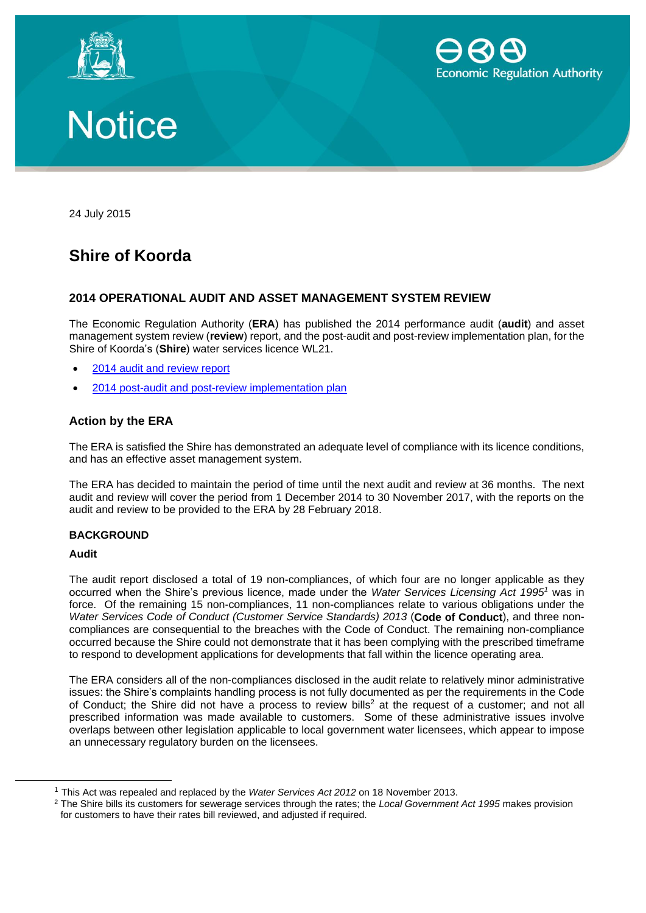





24 July 2015

# **Shire of Koorda**

## **2014 OPERATIONAL AUDIT AND ASSET MANAGEMENT SYSTEM REVIEW**

The Economic Regulation Authority (**ERA**) has published the 2014 performance audit (**audit**) and asset management system review (**review**) report, and the post-audit and post-review implementation plan, for the Shire of Koorda's (**Shire**) water services licence WL21.

- 2014 audit [and review](http://www.erawa.com.au/cproot/13775/2/Shire%20of%20Koorda%20-%202014%20Performance%20Audit%20and%20Asset%20Management%20Review%20Report.pdf) report
- 2014 post-audit [and post-review implementation plan](http://www.erawa.com.au/cproot/13776/2/Shire%20of%20Koorda%20-%202014%20Post-audit%20and%20post-review%20implementation%20plan.pdf)

### **Action by the ERA**

The ERA is satisfied the Shire has demonstrated an adequate level of compliance with its licence conditions, and has an effective asset management system.

The ERA has decided to maintain the period of time until the next audit and review at 36 months. The next audit and review will cover the period from 1 December 2014 to 30 November 2017, with the reports on the audit and review to be provided to the ERA by 28 February 2018.

#### **BACKGROUND**

#### **Audit**

-

The audit report disclosed a total of 19 non-compliances, of which four are no longer applicable as they occurred when the Shire's previous licence, made under the *Water Services Licensing Act 1995<sup>1</sup>* was in force. Of the remaining 15 non-compliances, 11 non-compliances relate to various obligations under the *Water Services Code of Conduct (Customer Service Standards) 2013* (**Code of Conduct**), and three noncompliances are consequential to the breaches with the Code of Conduct. The remaining non-compliance occurred because the Shire could not demonstrate that it has been complying with the prescribed timeframe to respond to development applications for developments that fall within the licence operating area.

The ERA considers all of the non-compliances disclosed in the audit relate to relatively minor administrative issues: the Shire's complaints handling process is not fully documented as per the requirements in the Code of Conduct; the Shire did not have a process to review bills<sup>2</sup> at the request of a customer; and not all prescribed information was made available to customers. Some of these administrative issues involve overlaps between other legislation applicable to local government water licensees, which appear to impose an unnecessary regulatory burden on the licensees.

<sup>1</sup> This Act was repealed and replaced by the *Water Services Act 2012* on 18 November 2013.

<sup>2</sup> The Shire bills its customers for sewerage services through the rates; the *Local Government Act 1995* makes provision for customers to have their rates bill reviewed, and adjusted if required.